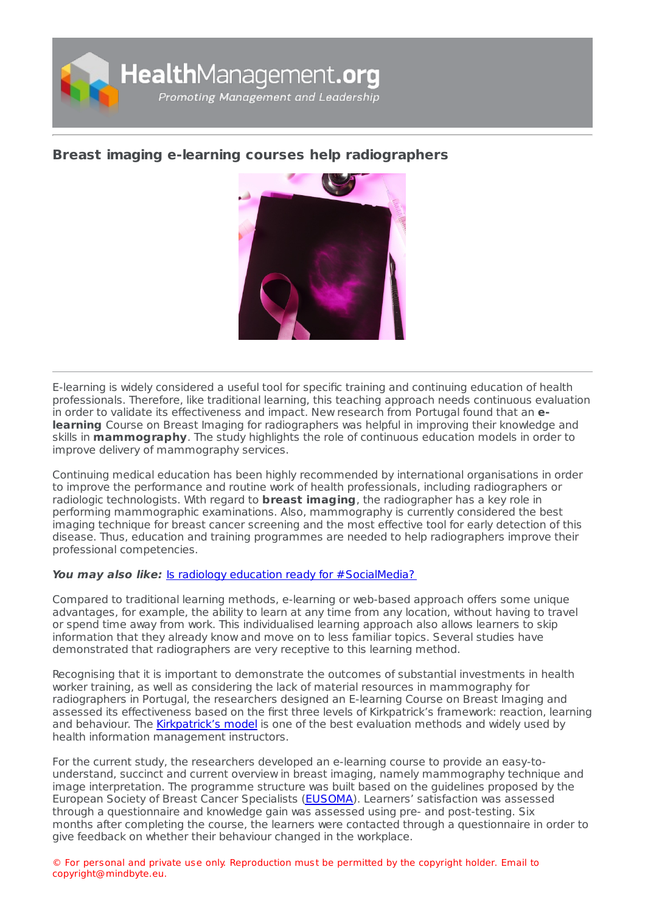

## **Breast imaging e-learning courses help [radiographers](https://healthmanagement.org/s/breast-imaging-e-learning-courses-help-radiographers)**



E-learning is widely considered a useful tool for specific training and continuing education of health professionals. Therefore, like traditional learning, this teaching approach needs continuous evaluation in order to validate its effectiveness and impact. New research from Portugal found that an **elearning** Course on Breast Imaging for radiographers was helpful in improving their knowledge and skills in **mammography**. The study highlights the role of continuous education models in order to improve delivery of mammography services.

Continuing medical education has been highly recommended by international organisations in order to improve the performance and routine work of health professionals, including radiographers or radiologic technologists. With regard to **breast imaging**, the radiographer has a key role in performing mammographic examinations. Also, mammography is currently considered the best imaging technique for breast cancer screening and the most effective tool for early detection of this disease. Thus, education and training programmes are needed to help radiographers improve their professional competencies.

## **You may also like:** Is radiology education ready for [#SocialMedia?](https://healthmanagement.org/c/imaging/news/is-radiology-education-ready-for-socialmedia)

Compared to traditional learning methods, e-learning or web-based approach offers some unique advantages, for example, the ability to learn at any time from any location, without having to travel or spend time away from work. This individualised learning approach also allows learners to skip information that they already know and move on to less familiar topics. Several studies have demonstrated that radiographers are very receptive to this learning method.

Recognising that it is important to demonstrate the outcomes of substantial investments in health worker training, as well as considering the lack of material resources in mammography for radiographers in Portugal, the researchers designed an E-learning Course on Breast Imaging and assessed its effectiveness based on the first three levels of Kirkpatrick's framework: reaction, learning and behaviour. The [Kirkpatrick's](https://www.sciencedirect.com/science/article/pii/S0149718904000369) model is one of the best evaluation methods and widely used by health information management instructors.

For the current study, the researchers developed an e-learning course to provide an easy-tounderstand, succinct and current overview in breast imaging, namely mammography technique and image interpretation. The programme structure was built based on the guidelines proposed by the European Society of Breast Cancer Specialists [\(EUSOMA](https://www.eusoma.org)). Learners' satisfaction was assessed through a questionnaire and knowledge gain was assessed using pre- and post-testing. Six months after completing the course, the learners were contacted through a questionnaire in order to give feedback on whether their behaviour changed in the workplace.

© For personal and private use only. Reproduction must be permitted by the copyright holder. Email to copyright@mindbyte.eu.